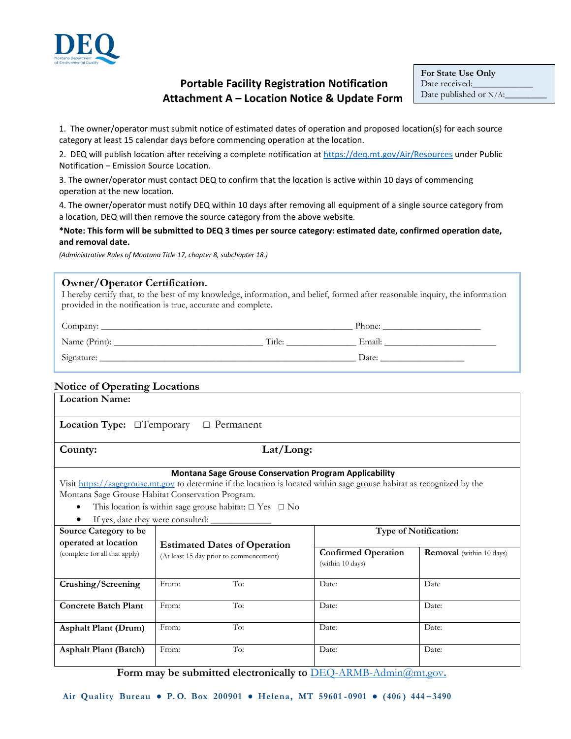

# **Portable Facility Registration Notification Attachment A – Location Notice & Update Form**

**For State Use Only** Date received: Date published or N/A:

1. The owner/operator must submit notice of estimated dates of operation and proposed location(s) for each source category at least 15 calendar days before commencing operation at the location.

2. DEQ will publish location after receiving a complete notification at<https://deq.mt.gov/Air/Resources> under Public Notification – Emission Source Location.

3. The owner/operator must contact DEQ to confirm that the location is active within 10 days of commencing operation at the new location.

4. The owner/operator must notify DEQ within 10 days after removing all equipment of a single source category from a location, DEQ will then remove the source category from the above website.

#### **\*Note: This form will be submitted to DEQ 3 times per source category: estimated date, confirmed operation date, and removal date.**

*(Administrative Rules of Montana Title 17, chapter 8, subchapter 18.)*

#### **Owner/Operator Certification.**

I hereby certify that, to the best of my knowledge, information, and belief, formed after reasonable inquiry, the information provided in the notification is true, accurate and complete.

| Company:      |        | Phone: |
|---------------|--------|--------|
| Name (Print): | Title: | Email: |
| Signature:    |        | Date:  |

### **Notice of Operating Locations**

| <b>Location Name:</b>                                                                                                                                                                                                                                                                                                    |                                                                                |                                                |                                 |  |  |  |  |  |
|--------------------------------------------------------------------------------------------------------------------------------------------------------------------------------------------------------------------------------------------------------------------------------------------------------------------------|--------------------------------------------------------------------------------|------------------------------------------------|---------------------------------|--|--|--|--|--|
| <b>Location Type:</b> $\Box$ Temporary<br>$\Box$ Permanent                                                                                                                                                                                                                                                               |                                                                                |                                                |                                 |  |  |  |  |  |
| Lat/Long:<br>County:                                                                                                                                                                                                                                                                                                     |                                                                                |                                                |                                 |  |  |  |  |  |
| <b>Montana Sage Grouse Conservation Program Applicability</b><br>Visit https://sagegrouse.mt.gov to determine if the location is located within sage grouse habitat as recognized by the<br>Montana Sage Grouse Habitat Conservation Program.<br>This location is within sage grouse habitat: $\square$ Yes $\square$ No |                                                                                |                                                |                                 |  |  |  |  |  |
| If yes, date they were consulted: _<br>Type of Notification:<br>Source Category to be                                                                                                                                                                                                                                    |                                                                                |                                                |                                 |  |  |  |  |  |
| operated at location<br>(complete for all that apply)                                                                                                                                                                                                                                                                    | <b>Estimated Dates of Operation</b><br>(At least 15 day prior to commencement) | <b>Confirmed Operation</b><br>(within 10 days) | <b>Removal</b> (within 10 days) |  |  |  |  |  |
| Crushing/Screening                                                                                                                                                                                                                                                                                                       | To:<br>From:                                                                   | Date:                                          | Date                            |  |  |  |  |  |
| <b>Concrete Batch Plant</b>                                                                                                                                                                                                                                                                                              | To:<br>From:                                                                   | Date:                                          | Date:                           |  |  |  |  |  |
| <b>Asphalt Plant (Drum)</b>                                                                                                                                                                                                                                                                                              | To:<br>From:                                                                   | Date:                                          | Date:                           |  |  |  |  |  |
| <b>Asphalt Plant (Batch)</b>                                                                                                                                                                                                                                                                                             | To:<br>From:                                                                   | Date:                                          | Date:                           |  |  |  |  |  |

 **Form may be submitted electronically to** [DEQ-ARMB-Admin@mt.gov](mailto:DEQ-ARMB-Admin@mt.gov.)**.**